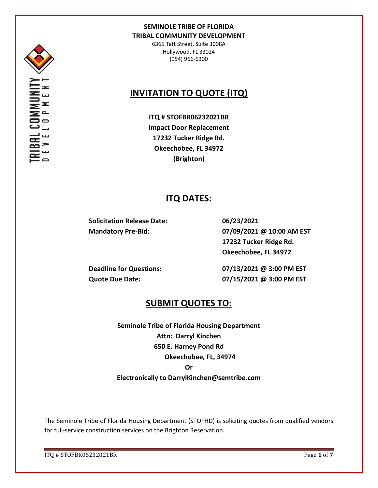

6365 Taft Street, Suite 3008A Hollywood, FL 33024 (954) 966-6300

# **INVITATION TO QUOTE (ITQ)**

**ITQ # STOFBR06232021BR Impact Door Replacement 17232 Tucker Ridge Rd. Okeechobee, FL 34972 (Brighton)**

## **ITQ DATES:**

**Solicitation Release Date: 06/23/2021**

**Mandatory Pre-Bid: 07/09/2021 @ 10:00 AM EST 17232 Tucker Ridge Rd. Okeechobee, FL 34972**

**Deadline for Questions: 07/13/2021 @ 3:00 PM EST Quote Due Date: 07/15/2021 @ 3:00 PM EST**

## **SUBMIT QUOTES TO:**

**Seminole Tribe of Florida Housing Department Attn: Darryl Kinchen 650 E. Harney Pond Rd Okeechobee, FL, 34974 Or Electronically to DarrylKinchen@semtribe.com**

The Seminole Tribe of Florida Housing Department (STOFHD) is soliciting quotes from qualified vendors for full-service construction services on the Brighton Reservation.

ITQ # STOFBR06232021BR Page **1** of **7**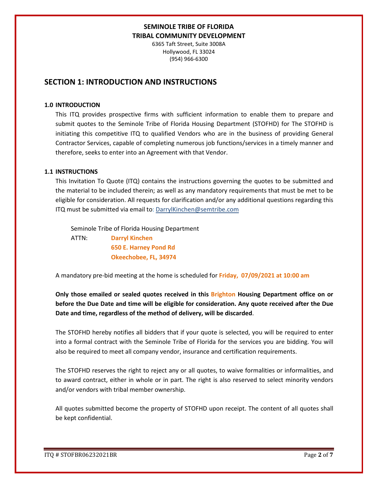6365 Taft Street, Suite 3008A Hollywood, FL 33024 (954) 966-6300

## **SECTION 1: INTRODUCTION AND INSTRUCTIONS**

### **1.0 INTRODUCTION**

This ITQ provides prospective firms with sufficient information to enable them to prepare and submit quotes to the Seminole Tribe of Florida Housing Department (STOFHD) for The STOFHD is initiating this competitive ITQ to qualified Vendors who are in the business of providing General Contractor Services, capable of completing numerous job functions/services in a timely manner and therefore, seeks to enter into an Agreement with that Vendor.

### **1.1 INSTRUCTIONS**

This Invitation To Quote (ITQ) contains the instructions governing the quotes to be submitted and the material to be included therein; as well as any mandatory requirements that must be met to be eligible for consideration. All requests for clarification and/or any additional questions regarding this ITQ must be submitted via email to: DarrylKinchen@semtribe.com

 Seminole Tribe of Florida Housing Department ATTN: **Darryl Kinchen**

 **650 E. Harney Pond Rd Okeechobee, FL, 34974**

A mandatory pre-bid meeting at the home is scheduled for **Friday, 07/09/2021 at 10:00 am**

**Only those emailed or sealed quotes received in this Brighton Housing Department office on or before the Due Date and time will be eligible for consideration. Any quote received after the Due Date and time, regardless of the method of delivery, will be discarded**.

The STOFHD hereby notifies all bidders that if your quote is selected, you will be required to enter into a formal contract with the Seminole Tribe of Florida for the services you are bidding. You will also be required to meet all company vendor, insurance and certification requirements.

The STOFHD reserves the right to reject any or all quotes, to waive formalities or informalities, and to award contract, either in whole or in part. The right is also reserved to select minority vendors and/or vendors with tribal member ownership.

All quotes submitted become the property of STOFHD upon receipt. The content of all quotes shall be kept confidential.

ITQ # STOFBR06232021BR Page **2** of **7**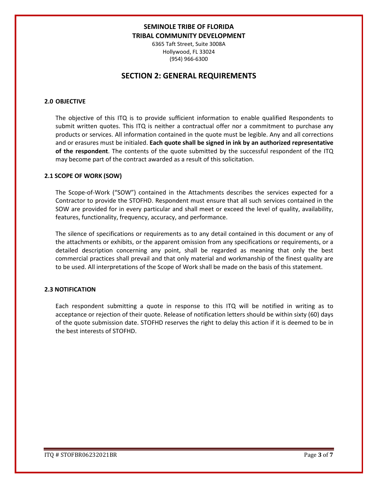6365 Taft Street, Suite 3008A Hollywood, FL 33024 (954) 966-6300

## **SECTION 2: GENERAL REQUIREMENTS**

### **2.0 OBJECTIVE**

The objective of this ITQ is to provide sufficient information to enable qualified Respondents to submit written quotes. This ITQ is neither a contractual offer nor a commitment to purchase any products or services. All information contained in the quote must be legible. Any and all corrections and or erasures must be initialed. **Each quote shall be signed in ink by an authorized representative of the respondent**. The contents of the quote submitted by the successful respondent of the ITQ may become part of the contract awarded as a result of this solicitation.

#### **2.1 SCOPE OF WORK (SOW)**

The Scope-of-Work ("SOW") contained in the Attachments describes the services expected for a Contractor to provide the STOFHD. Respondent must ensure that all such services contained in the SOW are provided for in every particular and shall meet or exceed the level of quality, availability, features, functionality, frequency, accuracy, and performance.

The silence of specifications or requirements as to any detail contained in this document or any of the attachments or exhibits, or the apparent omission from any specifications or requirements, or a detailed description concerning any point, shall be regarded as meaning that only the best commercial practices shall prevail and that only material and workmanship of the finest quality are to be used. All interpretations of the Scope of Work shall be made on the basis of this statement.

#### **2.3 NOTIFICATION**

Each respondent submitting a quote in response to this ITQ will be notified in writing as to acceptance or rejection of their quote. Release of notification letters should be within sixty (60) days of the quote submission date. STOFHD reserves the right to delay this action if it is deemed to be in the best interests of STOFHD.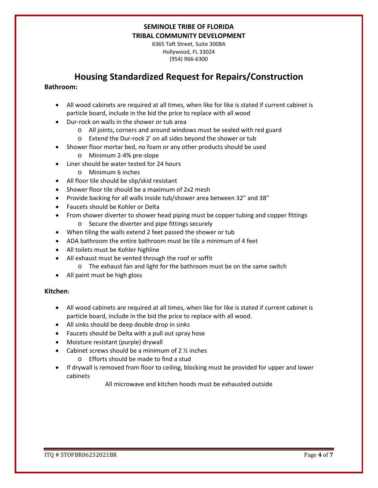6365 Taft Street, Suite 3008A Hollywood, FL 33024 (954) 966-6300

## **Housing Standardized Request for Repairs/Construction**

### **Bathroom:**

- All wood cabinets are required at all times, when like for like is stated if current cabinet is particle board, include in the bid the price to replace with all wood
- Dur-rock on walls in the shower or tub area
	- o All joints, corners and around windows must be sealed with red guard
	- o Extend the Dur-rock 2' on all sides beyond the shower or tub
- Shower floor mortar bed, no foam or any other products should be used
	- o Minimum 2-4% pre-slope
- Liner should be water tested for 24 hours
	- o Minimum 6 inches
- All floor tile should be slip/skid resistant
- Shower floor tile should be a maximum of 2x2 mesh
- Provide backing for all walls inside tub/shower area between 32" and 38"
- Faucets should be Kohler or Delta
- From shower diverter to shower head piping must be copper tubing and copper fittings o Secure the diverter and pipe fittings securely
- When tiling the walls extend 2 feet passed the shower or tub
- ADA bathroom the entire bathroom must be tile a minimum of 4 feet
- All toilets must be Kohler highline
- All exhaust must be vented through the roof or soffit
	- o The exhaust fan and light for the bathroom must be on the same switch
- All paint must be high gloss

### **Kitchen:**

- All wood cabinets are required at all times, when like for like is stated if current cabinet is particle board, include in the bid the price to replace with all wood.
- All sinks should be deep double drop in sinks
- Faucets should be Delta with a pull out spray hose
- Moisture resistant (purple) drywall
- Cabinet screws should be a minimum of  $2 \frac{1}{2}$  inches
	- o Efforts should be made to find a stud
- If drywall is removed from floor to ceiling, blocking must be provided for upper and lower cabinets

All microwave and kitchen hoods must be exhausted outside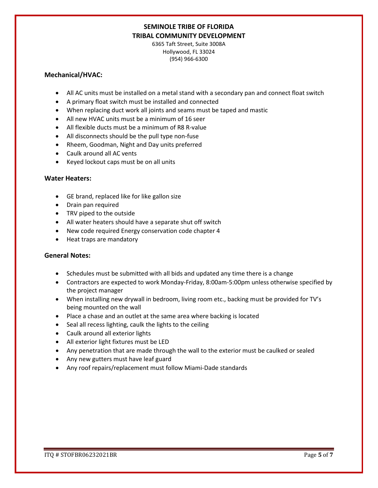6365 Taft Street, Suite 3008A Hollywood, FL 33024 (954) 966-6300

### **Mechanical/HVAC:**

- All AC units must be installed on a metal stand with a secondary pan and connect float switch
- A primary float switch must be installed and connected
- When replacing duct work all joints and seams must be taped and mastic
- All new HVAC units must be a minimum of 16 seer
- All flexible ducts must be a minimum of R8 R-value
- All disconnects should be the pull type non-fuse
- Rheem, Goodman, Night and Day units preferred
- Caulk around all AC vents
- Keyed lockout caps must be on all units

### **Water Heaters:**

- GE brand, replaced like for like gallon size
- Drain pan required
- TRV piped to the outside
- All water heaters should have a separate shut off switch
- New code required Energy conservation code chapter 4
- Heat traps are mandatory

### **General Notes:**

- Schedules must be submitted with all bids and updated any time there is a change
- Contractors are expected to work Monday-Friday, 8:00am-5:00pm unless otherwise specified by the project manager
- When installing new drywall in bedroom, living room etc., backing must be provided for TV's being mounted on the wall
- Place a chase and an outlet at the same area where backing is located
- Seal all recess lighting, caulk the lights to the ceiling
- Caulk around all exterior lights
- All exterior light fixtures must be LED
- Any penetration that are made through the wall to the exterior must be caulked or sealed
- Any new gutters must have leaf guard
- Any roof repairs/replacement must follow Miami-Dade standards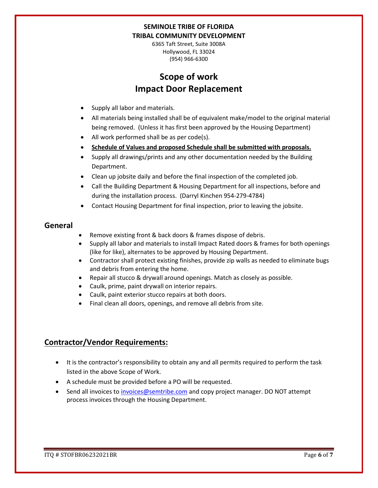6365 Taft Street, Suite 3008A Hollywood, FL 33024 (954) 966-6300

# **Scope of work Impact Door Replacement**

- Supply all labor and materials.
- All materials being installed shall be of equivalent make/model to the original material being removed. (Unless it has first been approved by the Housing Department)
- All work performed shall be as per code(s).
- **Schedule of Values and proposed Schedule shall be submitted with proposals.**
- Supply all drawings/prints and any other documentation needed by the Building Department.
- Clean up jobsite daily and before the final inspection of the completed job.
- Call the Building Department & Housing Department for all inspections, before and during the installation process. (Darryl Kinchen 954-279-4784)
- Contact Housing Department for final inspection, prior to leaving the jobsite.

## **General**

- Remove existing front & back doors & frames dispose of debris.
- Supply all labor and materials to install Impact Rated doors & frames for both openings (like for like), alternates to be approved by Housing Department.
- Contractor shall protect existing finishes, provide zip walls as needed to eliminate bugs and debris from entering the home.
- Repair all stucco & drywall around openings. Match as closely as possible.
- Caulk, prime, paint drywall on interior repairs.
- Caulk, paint exterior stucco repairs at both doors.
- Final clean all doors, openings, and remove all debris from site.

## **Contractor/Vendor Requirements:**

- It is the contractor's responsibility to obtain any and all permits required to perform the task listed in the above Scope of Work.
- A schedule must be provided before a PO will be requested.
- Send all invoices to [invoices@semtribe.com](mailto:invoices@semtribe.com) and copy project manager. DO NOT attempt process invoices through the Housing Department.